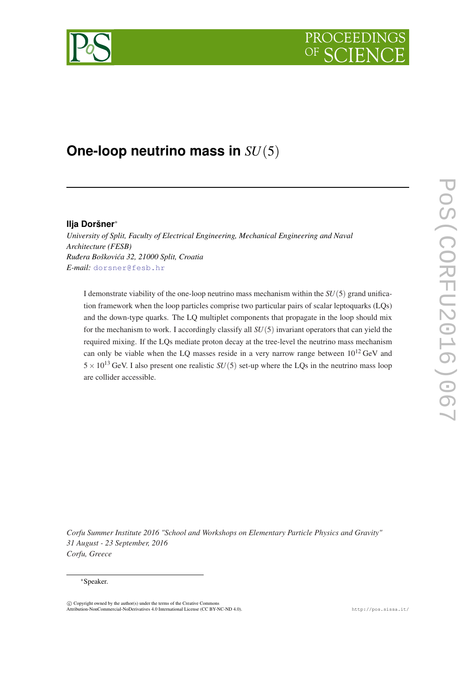# **PROCEEDI**



# **One-loop neutrino mass in** *SU*(5)

# **Ilja Doršner**<sup>∗</sup>

*University of Split, Faculty of Electrical Engineering, Mechanical Engineering and Naval Architecture (FESB) Rudera Boškovi´ca 32, 21000 Split, Croatia ¯ E-mail:* [dorsner@fesb.hr](mailto:dorsner@fesb.hr)

I demonstrate viability of the one-loop neutrino mass mechanism within the  $SU(5)$  grand unification framework when the loop particles comprise two particular pairs of scalar leptoquarks (LQs) and the down-type quarks. The LQ multiplet components that propagate in the loop should mix for the mechanism to work. I accordingly classify all *SU*(5) invariant operators that can yield the required mixing. If the LQs mediate proton decay at the tree-level the neutrino mass mechanism can only be viable when the LQ masses reside in a very narrow range between  $10^{12}$  GeV and  $5 \times 10^{13}$  GeV. I also present one realistic *SU*(5) set-up where the LQs in the neutrino mass loop are collider accessible.

*Corfu Summer Institute 2016 "School and Workshops on Elementary Particle Physics and Gravity" 31 August - 23 September, 2016 Corfu, Greece*

#### <sup>∗</sup>Speaker.

 $\overline{c}$  Copyright owned by the author(s) under the terms of the Creative Common Attribution-NonCommercial-NoDerivatives 4.0 International License (CC BY-NC-ND 4.0). http://pos.sissa.it/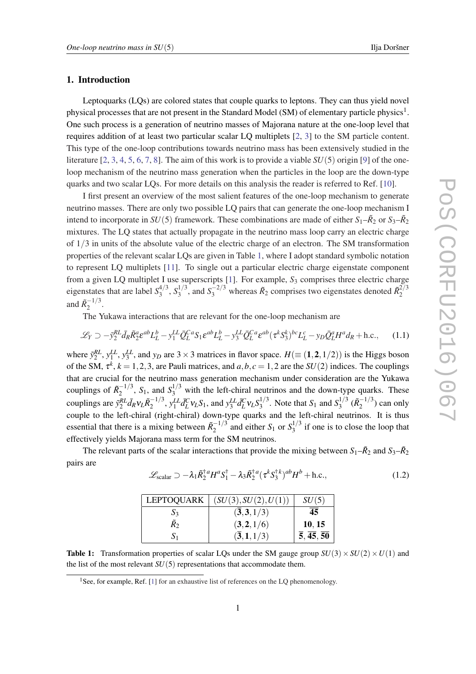# <span id="page-1-0"></span>1. Introduction

Leptoquarks (LQs) are colored states that couple quarks to leptons. They can thus yield novel physical processes that are not present in the Standard Model (SM) of elementary particle physics<sup>1</sup>. One such process is a generation of neutrino masses of Majorana nature at the one-loop level that requires addition of at least two particular scalar LQ multiplets [[2](#page-7-0), [3\]](#page-7-0) to the SM particle content. This type of the one-loop contributions towards neutrino mass has been extensively studied in the literature [[2](#page-7-0), [3,](#page-7-0) [4](#page-7-0), [5,](#page-7-0) [6](#page-7-0), [7,](#page-7-0) [8](#page-7-0)]. The aim of this work is to provide a viable *SU*(5) origin [[9](#page-7-0)] of the oneloop mechanism of the neutrino mass generation when the particles in the loop are the down-type quarks and two scalar LQs. For more details on this analysis the reader is referred to Ref. [\[10\]](#page-7-0).

I first present an overview of the most salient features of the one-loop mechanism to generate neutrino masses. There are only two possible LQ pairs that can generate the one-loop mechanism I intend to incorporate in  $SU(5)$  framework. These combinations are made of either  $S_1-\tilde{R}_2$  or  $S_3-\tilde{R}_2$ mixtures. The LQ states that actually propagate in the neutrino mass loop carry an electric charge of 1/3 in units of the absolute value of the electric charge of an electron. The SM transformation properties of the relevant scalar LQs are given in Table 1, where I adopt standard symbolic notation to represent LQ multiplets [\[11](#page-7-0)]. To single out a particular electric charge eigenstate component from a given LQ multiplet I use superscripts [[1](#page-6-0)]. For example, *S*<sup>3</sup> comprises three electric charge eigenstates that are label *S* 4/3  $^{4/3}_{3}$ ,  $S_3^{1/3}$  $3^{1/3}$ , and  $S_3^{-2/3}$  whereas  $\tilde{R}_2$  comprises two eigenstates denoted  $\tilde{R}_2^{2/3}$ 2 and  $\tilde{R}_2^{-1/3}$  $\frac{-1}{2}$ .

The Yukawa interactions that are relevant for the one-loop mechanism are

$$
\mathcal{L}_Y \supset -\tilde{y}_2^{RL} \bar{d}_R \tilde{R}_2^a \varepsilon^{ab} L_L^b - y_1^{LL} \bar{Q}_L^{Ca} S_1 \varepsilon^{ab} L_L^b - y_3^{LL} \bar{Q}_L^{Ca} \varepsilon^{ab} (\tau^k S_3^k)^{bc} L_L^c - y_D \bar{Q}_L^a H^a d_R + \text{h.c.}, \tag{1.1}
$$

where  $\tilde{y}_2^{RL}$ ,  $y_1^{LL}$ ,  $y_3^{LL}$ , and  $y_D$  are 3 × 3 matrices in flavor space.  $H (\equiv (1, 2, 1/2))$  is the Higgs boson of the SM,  $\tau^k$ ,  $k = 1, 2, 3$ , are Pauli matrices, and  $a, b, c = 1, 2$  are the  $SU(2)$  indices. The couplings that are crucial for the neutrino mass generation mechanism under consideration are the Yukawa couplings of  $\tilde{R}_2^{-1/3}$ ,  $S_1$ , and  $S_3^{1/3}$  with the left-chiral neutrinos and the down-type quarks. These 2 couplings are  $\tilde{y}_2^{RL} \bar{d}_R v_L \tilde{R}_2^{-1/3}$  $\int_{2}^{-1/3}$ ,  $y_1^{LL} d_L^C v_L S_1$ , and  $y_3^{LL} d_L^C v_L S_3^{1/3}$  $S_3^{1/3}$ . Note that  $S_1$  and  $S_3^{1/3}$  $\frac{1}{3}$ <sup>( $\tilde{R}_2^{-1/3}$ )</sup>  $\binom{(-1)^3}{2}$  can only couple to the left-chiral (right-chiral) down-type quarks and the left-chiral neutrinos. It is thus essential that there is a mixing between  $\tilde{R}^{-1/3}$  $S_1^{-1/3}$  and either *S*<sup>1</sup> or  $S_3^{1/3}$  $i_3^{(1/3)}$  if one is to close the loop that effectively yields Majorana mass term for the SM neutrinos.

The relevant parts of the scalar interactions that provide the mixing between  $S_1-\tilde{R}_2$  and  $S_3-\tilde{R}_2$ pairs are

$$
\mathcal{L}_{\text{scalar}} \supset -\lambda_1 \tilde{R}_2^{\dagger a} H^a S_1^{\dagger} - \lambda_3 \tilde{R}_2^{\dagger a} (\tau^k S_3^{\dagger k})^{ab} H^b + \text{h.c.},\tag{1.2}
$$

| <b>LEPTOQUARK</b> | (SU(3), SU(2), U(1))             | SU(5)                                        |
|-------------------|----------------------------------|----------------------------------------------|
| $S_3$             | (3,3,1/3)                        | 45                                           |
| $\tilde{R}_2$     | (3,2,1/6)                        | 10, 15                                       |
| $\mathbf{S}_1$    | $(\overline{\bf 3},{\bf 1},1/3)$ | $\overline{5}, \overline{45}, \overline{50}$ |

**Table 1:** Transformation properties of scalar LQs under the SM gauge group  $SU(3) \times SU(2) \times U(1)$  and the list of the most relevant  $SU(5)$  representations that accommodate them.

<sup>&</sup>lt;sup>[1](#page-6-0)</sup>See, for example, Ref. [1] for an exhaustive list of references on the LQ phenomenology.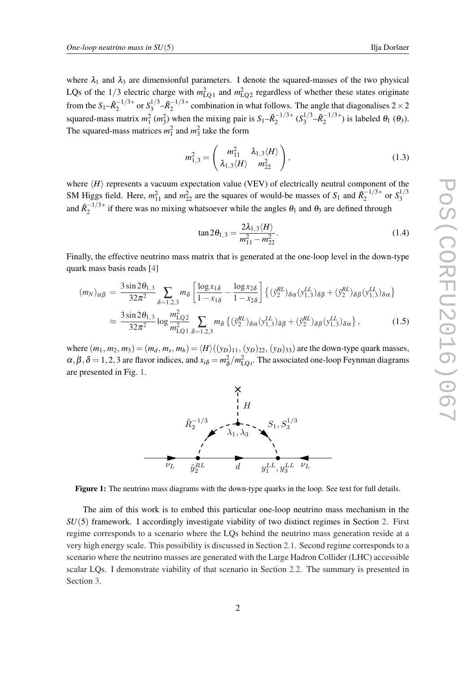<span id="page-2-0"></span>where  $\lambda_1$  and  $\lambda_3$  are dimensionful parameters. I denote the squared-masses of the two physical LQs of the  $1/3$  electric charge with  $m_{LQ1}^2$  and  $m_{LQ2}^2$  regardless of whether these states originate from the  $S_1-\tilde{R}_2^{-1/3*}$  $\frac{-1/3}{2}$  or  $S_3^{1/3}$  $\frac{1}{3}$ <sup>-1</sup>/3∗  $2^{-(1/3)}$  combination in what follows. The angle that diagonalises  $2 \times 2$ squared-mass matrix  $m_1^2$  ( $m_3^2$ ) when the mixing pair is  $S_1 - \tilde{R}_2^{-1/3*}$  $\binom{1}{2}^{3*}$   $\binom{5}{3}^{7}$  $-\tilde{R}_2^{-1/3*}$  $\binom{-1}{2}^*$  is labeled  $\theta_1$  ( $\theta_3$ ). The squared-mass matrices  $m_1^2$  and  $m_3^2$  take the form

$$
m_{1,3}^2 = \begin{pmatrix} m_{11}^2 & \lambda_{1,3} \langle H \rangle \\ \lambda_{1,3} \langle H \rangle & m_{22}^2 \end{pmatrix},
$$
\n(1.3)

where  $\langle H \rangle$  represents a vacuum expectation value (VEV) of electrically neutral component of the SM Higgs field. Here,  $m_{11}^2$  and  $m_{22}^2$  are the squares of would-be masses of  $S_1$  and  $\tilde{R}_2^{-1/3*}$  $\frac{1}{2}$ <sup>-1/3\*</sup> or  $S_3^{1/3}$ 3 and  $\tilde{R}_2^{-1/3*}$  $\frac{1}{2}$ <sup>1/3\*</sup> if there was no mixing whatsoever while the angles  $\theta_1$  and  $\theta_3$  are defined through

$$
\tan 2\theta_{1,3} = \frac{2\lambda_{1,3} \langle H \rangle}{m_{11}^2 - m_{22}^2}.
$$
 (1.4)

Finally, the effective neutrino mass matrix that is generated at the one-loop level in the down-type quark mass basis reads [\[4\]](#page-7-0)

$$
(m_N)_{\alpha\beta} = \frac{3 \sin 2\theta_{1,3}}{32\pi^2} \sum_{\delta=1,2,3} m_\delta \left[ \frac{\log x_{1\delta}}{1 - x_{1\delta}} - \frac{\log x_{2\delta}}{1 - x_{2\delta}} \right] \left\{ (\tilde{y}_2^{RL})_{\delta\alpha} (y_{1,3}^{LL})_{\delta\beta} + (\tilde{y}_2^{RL})_{\delta\beta} (y_{1,3}^{LL})_{\delta\alpha} \right\}
$$
  

$$
\approx \frac{3 \sin 2\theta_{1,3}}{32\pi^2} \log \frac{m_{\text{LO2}}^2}{m_{\text{LO1}}^2} \sum_{\delta=1,2,3} m_\delta \left\{ (\tilde{y}_2^{RL})_{\delta\alpha} (y_{1,3}^{LL})_{\delta\beta} + (\tilde{y}_2^{RL})_{\delta\beta} (y_{1,3}^{LL})_{\delta\alpha} \right\},
$$
(1.5)

where  $(m_1, m_2, m_3) = (m_d, m_s, m_b) = \langle H \rangle ((y_D)_{11}, (y_D)_{22}, (y_D)_{33})$  are the down-type quark masses,  $\alpha, \beta, \delta = 1, 2, 3$  are flavor indices, and  $x_{i\delta} = m_{\delta}^2$  $\frac{2}{\delta}$ / $m_{\text{LQ}i}^2$ . The associated one-loop Feynman diagrams are presented in Fig. 1.



Figure 1: The neutrino mass diagrams with the down-type quarks in the loop. See text for full details.

The aim of this work is to embed this particular one-loop neutrino mass mechanism in the *SU*(5) framework. I accordingly investigate viability of two distinct regimes in Section [2](#page-3-0). First regime corresponds to a scenario where the LQs behind the neutrino mass generation reside at a very high energy scale. This possibility is discussed in Section [2.1.](#page-4-0) Second regime corresponds to a scenario where the neutrino masses are generated with the Large Hadron Collider (LHC) accessible scalar LQs. I demonstrate viability of that scenario in Section [2.2.](#page-5-0) The summary is presented in Section [3](#page-6-0).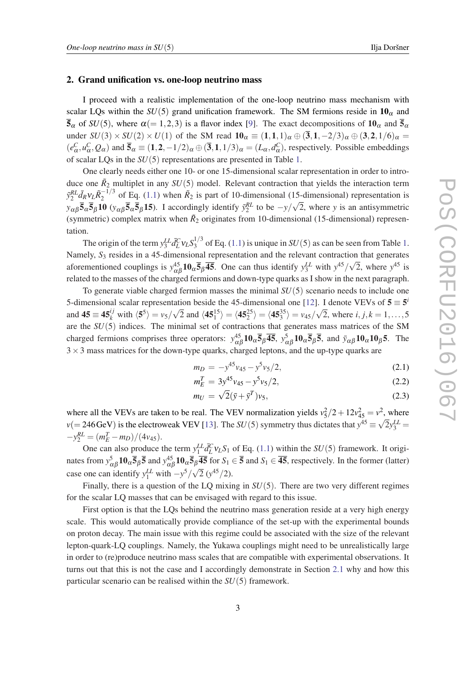## <span id="page-3-0"></span>2. Grand unification vs. one-loop neutrino mass

I proceed with a realistic implementation of the one-loop neutrino mass mechanism with scalar LQs within the  $SU(5)$  grand unification framework. The SM fermions reside in  $10<sub>\alpha</sub>$  and  $\bar{5}_{\alpha}$  of *SU*(5), where  $\alpha$ (= 1,2,3) is a flavor index [[9](#page-7-0)]. The exact decompositions of  $10_{\alpha}$  and  $\bar{5}_{\alpha}$ under  $SU(3) \times SU(2) \times U(1)$  of the SM read  $\mathbf{10}_{\alpha} \equiv (1,1,1)_{\alpha} \oplus (\mathbf{3},1,-2/3)_{\alpha} \oplus (\mathbf{3},\mathbf{2},1/6)_{\alpha} =$  $(e_{\alpha}^C, u_{\alpha}^C, Q_{\alpha})$  and  $\overline{5}_{\alpha} \equiv (1, 2, -1/2)_{\alpha} \oplus (\overline{3}, 1, 1/3)_{\alpha} = (L_{\alpha}, d_{\alpha}^C)$ , respectively. Possible embeddings of scalar LQs in the *SU*(5) representations are presented in Table [1](#page-1-0).

One clearly needs either one 10- or one 15-dimensional scalar representation in order to introduce one  $\tilde{R}_2$  multiplet in any  $SU(5)$  model. Relevant contraction that yields the interaction term  $\tilde{y}_2^{RL} \bar{d}_R v_L \tilde{R}_2^{-1/3}$  $\frac{1}{2}$  of Eq. ([1.1\)](#page-1-0) when  $\tilde{R}_2$  is part of 10-dimensional (15-dimensional) representation is  $y_{\alpha\beta}$  $\overline{5}_{\alpha}$  $\overline{5}_{\beta}$ **10** ( $y_{\alpha\beta}$  $\overline{5}_{\alpha}$  $\overline{5}_{\beta}$ **15**). I accordingly identify  $\tilde{y}_2^{RL}$  to be  $-y/\sqrt{2}$ , where *y* is an antisymmetric (symmetric) complex matrix when  $\tilde{R}_2$  originates from 10-dimensional (15-dimensional) representation.

The origin of the term  $y_3^{LL} \bar{d}_L^C v_L S_3^{1/3}$  $3^{(1/3)}$  $3^{(1/3)}$  $3^{(1/3)}$  of Eq. [\(1.1\)](#page-1-0) is unique in *SU*(5) as can be seen from Table 1. Namely,  $S_3$  resides in a 45-dimensional representation and the relevant contraction that generates aforementioned couplings is  $y_{\alpha\beta}^{45}10_{\alpha}\overline{5}_{\beta}\overline{45}$ . One can thus identify  $y_3^{LL}$  with  $y^{45}/\sqrt{2}$ , where  $y^{45}$  is related to the masses of the charged fermions and down-type quarks as I show in the next paragraph.

To generate viable charged fermion masses the minimal *SU*(5) scenario needs to include one 5-dimensional scalar representation beside the 45-dimensional one [[12\]](#page-7-0). I denote VEVs of  $5 \equiv 5^{\circ}$ and  $45 \equiv 45^{ij}_k$  with  $\langle 5^5 \rangle = v_5/$  $\sqrt{2}$  and  $\langle 45^{15}_1 \rangle = \langle 45^{25}_2 \rangle = \langle 45^{35}_3 \rangle = v_{45}/$ √ 2, where  $i, j, k = 1, ..., 5$ are the *SU*(5) indices. The minimal set of contractions that generates mass matrices of the SM charged fermions comprises three operators:  $y_{\alpha\beta}^{45}10_{\alpha}\overline{5}_{\beta}\overline{45}$ ,  $y_{\alpha\beta}^{5}10_{\alpha}\overline{5}_{\beta}\overline{5}$ , and  $\bar{y}_{\alpha\beta}10_{\alpha}10_{\beta}\overline{5}$ . The  $3 \times 3$  mass matrices for the down-type quarks, charged leptons, and the up-type quarks are

$$
m_D = -y^{45}v_{45} - y^5v_5/2,
$$
\n(2.1)

$$
m_E^T = 3y^{45}v_{45} - y^5v_5/2,
$$
\n(2.2)

$$
m_U = \sqrt{2}(\bar{y} + \bar{y}^T)v_5,\tag{2.3}
$$

where all the VEVs are taken to be real. The VEV normalization yields  $v_5^2/2 + 12v_{45}^2 = v^2$ , where  $v (= 246 \text{ GeV})$  is the electroweak VEV [\[13\]](#page-7-0). The *SU*(5) symmetry thus dictates that  $y^{45} \equiv \sqrt{2}y_3^{LL} =$  $-y_2^{RL} = (m_E^T - m_D)/(4v_{45}).$ 

One can also produce the term  $y_1^L L d_L^C v_L S_1$  of Eq. ([1.1](#page-1-0)) within the *SU*(5) framework. It originates from  $y_{\alpha\beta}^5 \mathbf{10}_\alpha \overline{\mathbf{5}}_\beta \overline{\mathbf{5}}$  and  $y_{\alpha\beta}^{45} \mathbf{10}_\alpha \overline{\mathbf{5}}_\beta \overline{\mathbf{45}}$  for  $S_1 \in \overline{\mathbf{5}}$  and  $S_1 \in \overline{\mathbf{45}}$ , respectively. In the former (latter) case one can identify  $y_1^{LL}$  with  $-y^5/\sqrt{2} (y^{45}/2)$ .

Finally, there is a question of the LQ mixing in *SU*(5). There are two very different regimes for the scalar LQ masses that can be envisaged with regard to this issue.

First option is that the LQs behind the neutrino mass generation reside at a very high energy scale. This would automatically provide compliance of the set-up with the experimental bounds on proton decay. The main issue with this regime could be associated with the size of the relevant lepton-quark-LQ couplings. Namely, the Yukawa couplings might need to be unrealistically large in order to (re)produce neutrino mass scales that are compatible with experimental observations. It turns out that this is not the case and I accordingly demonstrate in Section [2.1](#page-4-0) why and how this particular scenario can be realised within the *SU*(5) framework.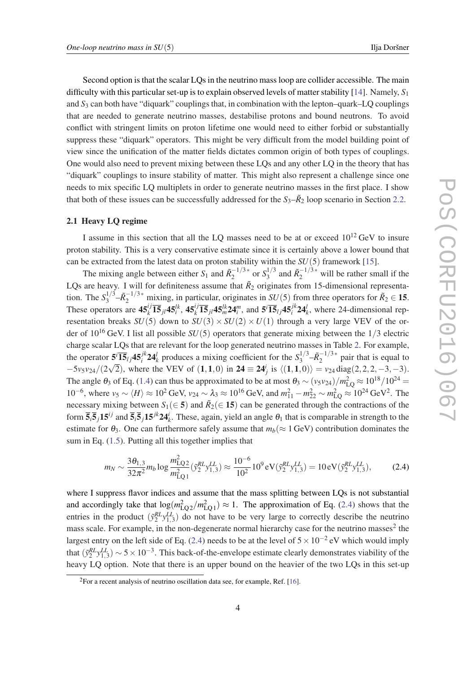<span id="page-4-0"></span>Second option is that the scalar LQs in the neutrino mass loop are collider accessible. The main difficulty with this particular set-up is to explain observed levels of matter stability [[14\]](#page-7-0). Namely, *S*<sup>1</sup> and *S*<sup>3</sup> can both have "diquark" couplings that, in combination with the lepton–quark–LQ couplings that are needed to generate neutrino masses, destabilise protons and bound neutrons. To avoid conflict with stringent limits on proton lifetime one would need to either forbid or substantially suppress these "diquark" operators. This might be very difficult from the model building point of view since the unification of the matter fields dictates common origin of both types of couplings. One would also need to prevent mixing between these LQs and any other LQ in the theory that has "diquark" couplings to insure stability of matter. This might also represent a challenge since one needs to mix specific LQ multiplets in order to generate neutrino masses in the first place. I show that both of these issues can be successfully addressed for the  $S_3-\tilde{R}_2$  loop scenario in Section [2.2](#page-5-0).

#### 2.1 Heavy LQ regime

I assume in this section that all the LQ masses need to be at or exceed  $10^{12}$  GeV to insure proton stability. This is a very conservative estimate since it is certainly above a lower bound that can be extracted from the latest data on proton stability within the *SU*(5) framework [\[15](#page-7-0)].

The mixing angle between either  $S_1$  and  $\tilde{R}_2^{-1/3*}$  $\frac{1}{2}$ <sup>-1/3\*</sup> or  $S_3^{1/3}$  $a_3^{1/3}$  and  $\tilde{R}_2^{-1/3*}$  will be rather small if the LQs are heavy. I will for definiteness assume that  $\tilde{R}_2$  originates from 15-dimensional representation. The  $S_3^{1/3}$  $\frac{3^{1/3}}{2} - \tilde{R}_2^{-1/3*}$  mixing, in particular, originates in *SU*(5) from three operators for  $\tilde{R}_2 \in \mathbf{15}$ . These operators are  $45_k^{ij} \overline{15}_{jl} 45_k^{lk}$ ,  $45_k^{ij} \overline{15}_{jl} 45_m^{lk} 24_l^m$ , and  $5^i \overline{15}_{lj} 45_i^{jk} 24_k^l$ , where 24-dimensional representation breaks  $SU(5)$  down to  $SU(3) \times SU(2) \times U(1)$  through a very large VEV of the order of 10<sup>16</sup> GeV. I list all possible *SU*(5) operators that generate mixing between the 1/3 electric charge scalar LQs that are relevant for the loop generated neutrino masses in Table [2.](#page-5-0) For example, the operator  $5^{i}$   $\overline{15}_{l}$  *j* $45^{j k}_{i}$  24<sup>*l*</sup><sub>k</sub> produces a mixing coefficient for the  $S_3^{1/3}$  $-\tilde{R}_2^{-1/3*}$  $2^{(-1/3)^*}$  pair that is equal to −5*v*5*v*24/(2  $\sqrt{2}$ ), where the VEV of (1,1,0) in 24 ≡ 24<sup>*i*</sup><sub>j</sub> is  $\langle (1,1,0) \rangle = v_{24} \text{diag}(2,2,2,-3,-3)$ . The angle  $\theta_3$  of Eq. [\(1.4\)](#page-2-0) can thus be approximated to be at most  $\theta_3 \sim (v_5v_{24})/m_{LQ}^2 \approx 10^{18}/10^{24}$  =  $10^{-6}$ , where  $v_5 \sim \langle H \rangle \approx 10^2$  GeV,  $v_{24} \sim \lambda_3 \approx 10^{16}$  GeV, and  $m_{11}^2 - m_{22}^2 \sim m_{LQ}^2 \approx 10^{24}$  GeV<sup>2</sup>. The necessary mixing between  $S_1(\in 5)$  and  $\tilde{R}_2(\in 15)$  can be generated through the contractions of the form  $\overline{5}_i\overline{5}_j15^{ij}$  and  $\overline{5}_i\overline{5}_j15^{jk}24^i_k$ . These, again, yield an angle  $\theta_1$  that is comparable in strength to the estimate for  $\theta_3$ . One can furthermore safely assume that  $m_b (\approx 1 \text{ GeV})$  contribution dominates the sum in Eq. ([1.5](#page-2-0)). Putting all this together implies that

$$
m_N \sim \frac{3\theta_{1,3}}{32\pi^2} m_b \log \frac{m_{\text{LQ2}}^2}{m_{\text{LQ1}}^2} (\tilde{y}_2^{RL} y_{1,3}^{LL}) \approx \frac{10^{-6}}{10^2} 10^9 \,\text{eV} (\tilde{y}_2^{RL} y_{1,3}^{LL}) = 10 \,\text{eV} (\tilde{y}_2^{RL} y_{1,3}^{LL}),\tag{2.4}
$$

where I suppress flavor indices and assume that the mass splitting between LQs is not substantial and accordingly take that  $log(m_{Q_2}^2/m_{Q_1}^2) \approx 1$ . The approximation of Eq. (2.4) shows that the entries in the product  $(\tilde{y}_2^{RL} y_{1,3}^{LL})$  do not have to be very large to correctly describe the neutrino mass scale. For example, in the non-degenerate normal hierarchy case for the neutrino masses<sup>2</sup> the largest entry on the left side of Eq. (2.4) needs to be at the level of  $5 \times 10^{-2}$  eV which would imply that  $(\tilde{y}_2^{RL} y_{1,3}^{LL}) \sim 5 \times 10^{-3}$ . This back-of-the-envelope estimate clearly demonstrates viability of the heavy LQ option. Note that there is an upper bound on the heavier of the two LQs in this set-up

 $2$ For a recent analysis of neutrino oscillation data see, for example, Ref. [\[16](#page-7-0)].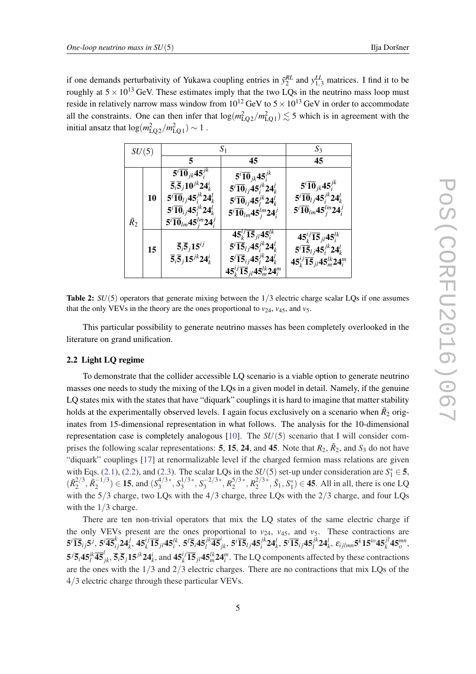<span id="page-5-0"></span>if one demands perturbativity of Yukawa coupling entries in  $\tilde{y}_2^{RL}$  and  $y_{1,3}^{LL}$  matrices. I find it to be roughly at  $5 \times 10^{13}$  GeV. These estimates imply that the two LQs in the neutrino mass loop must reside in relatively narrow mass window from  $10^{12}$  GeV to  $5 \times 10^{13}$  GeV in order to accommodate all the constraints. One can then infer that  $\log(m_{\text{LQ2}}^2/m_{\text{LQ1}}^2) \lesssim 5$  which is in agreement with the initial ansatz that  $\log(m_{\text{LQ2}}^2/m_{\text{LQ1}}^2) \sim 1$ .

| SU(5)         |    | $S_1$                                                                                                                                                                                                                                                                       |                                                                                                                                                                                                                                                                          | $S_3$                                                                                                                                                                       |
|---------------|----|-----------------------------------------------------------------------------------------------------------------------------------------------------------------------------------------------------------------------------------------------------------------------------|--------------------------------------------------------------------------------------------------------------------------------------------------------------------------------------------------------------------------------------------------------------------------|-----------------------------------------------------------------------------------------------------------------------------------------------------------------------------|
|               |    | 5                                                                                                                                                                                                                                                                           | 45                                                                                                                                                                                                                                                                       | 45                                                                                                                                                                          |
| $\tilde{R}_2$ | 10 | $5^{i}$ $\overline{10}_{jk}$ 45 $^{jk}$<br>$\overline{5}_i\overline{5}_j10^{jk}24_k^i$<br>$5^{i}$ $\overline{10}_{lj}$ $45^{jk}_{i}$ $24^{l}_{k}$<br>$5^{i}$ $\overline{10}_{ij}$ 45 $^{jk}_{l}$ 24 $^{l}_{k}$<br>$5^{i}$ $\overline{10}_{lm}$ 45 $^{lm}_{i}$ 24 $^{j}_{i}$ | $5^{i}$ $\overline{10}_{jk}$ 45 $^{jk}$<br>$5^{i}$ $\overline{10}_{l}$ $45^{jk}_{i}$ $24^{l}_{k}$<br>$5^{i}$ $\overline{10}_{ij}$ 45 $^{jk}_{l}$ 24 $^{l}_{k}$<br>$\overline{{\bf 5}^i \overline{\bf 10}}_{lm} {\bf 45}^{lm}_i {\bf 24}^j_i$                             | $5^{i}$ $\overline{10}$ <sub>jk</sub> $45^{jk}_{i}$<br>$5^{i}$ $\overline{10}_{lj}$ $45^{jk}_{i}$ $24^{l}_{k}$<br>$5^{i}$ $\overline{10}_{lm}$ 45 $^{lm}_{i}$ 24 $^{j}_{i}$ |
|               | 15 | $\overline{5}_i \overline{5}_j 15^{ij}$<br>$\overline{5}_i\overline{5}_j15^{jk}24_k^i$                                                                                                                                                                                      | $\overline{45^{\iota j}_k}$ $\overline{15}_{\iota k}$ $\overline{45}^{\iota k}_{\iota}$<br>$5^{i}$ $\overline{15}_{lj}$ $45^{jk}_{i}$ $24^{l}_{k}$<br>$5^{i}$ $\overline{15}_{ij}$ 45 $^{jk}_{l}$ 24 $^{l}_{k}$<br>$45_k^{ij}$ $\overline{15}_{jl}$ $45_m^{lk}$ $24_l^m$ | $45^{ij}_{k}$ 15 <sub>jl</sub> 45 <sup>lk</sup><br>$5^{i}$ $\overline{15}_{lj}$ $45^{jk}_{i}$ $24^{l}_{k}$<br>$45^{ij}_k \overline{15}_{jl} 45^{lk}_m 24^m_i$               |

Table 2:  $SU(5)$  operators that generate mixing between the  $1/3$  electric charge scalar LQs if one assumes that the only VEVs in the theory are the ones proportional to  $v_{24}$ ,  $v_{45}$ , and  $v_5$ .

This particular possibility to generate neutrino masses has been completely overlooked in the literature on grand unification.

# 2.2 Light LQ regime

To demonstrate that the collider accessible LQ scenario is a viable option to generate neutrino masses one needs to study the mixing of the LQs in a given model in detail. Namely, if the genuine LQ states mix with the states that have "diquark" couplings it is hard to imagine that matter stability holds at the experimentally observed levels. I again focus exclusively on a scenario when  $\tilde{R}_2$  originates from 15-dimensional representation in what follows. The analysis for the 10-dimensional representation case is completely analogous [[10\]](#page-7-0). The *SU*(5) scenario that I will consider comprises the following scalar representations: 5, 15, 24, and 45. Note that  $R_2$ ,  $\tilde{R}_2$ , and  $S_3$  do not have "diquark" couplings [\[17](#page-7-0)] at renormalizable level if the charged fermion mass relations are given with Eqs. [\(2.1\)](#page-3-0), [\(2.2\)](#page-3-0), and ([2.3](#page-3-0)). The scalar LQs in the  $SU(5)$  set-up under consideration are  $S_1^* \in 5$ ,  $(\tilde{R}_{2}^{2/3})$  $\frac{2}{3}, \tilde{R}_2^{-1/3}$  $\binom{1}{2}$  ∈ **15**, and  $(S_3^{4/3*})$  $S_3^{1/3*}$ ,  $S_3^{1/3*}$  $S_3^{1/3*}, S_3^{-2/3*}$  $\frac{1}{3}$ <sup>-2/3∗</sup>,  $R_2^{5/3}$ <sup>\*</sup>  $R_2^{5/3*}, R_2^{2/3*}$  $2^{2/3*}, \tilde{S}_1, S_1^* \in \mathbf{45}$ . All in all, there is one LQ with the 5/3 charge, two LQs with the 4/3 charge, three LQs with the 2/3 charge, and four LQs with the  $1/3$  charge.

There are ten non-trivial operators that mix the LQ states of the same electric charge if the only VEVs present are the ones proportional to  $v_{24}$ ,  $v_{45}$ , and  $v_5$ . These contractions are  $5^{i}\overline{15}_{ij}5^{j}, 5^{i}\overline{45}_{ij}^{k}\overline{24}_{k}^{j}, 45^{ij}_{k}\overline{15}_{jl}45^{lk}_{i}, 5^{l}\overline{5}_{i}45^{jk}_{l}\overline{45}_{jk}^{i}, 5^{i}\overline{15}_{lj}45^{jk}_{i}24^{l}_{k}, 5^{i}\overline{15}_{ij}45^{jk}_{l}24^{l}_{k}, \varepsilon_{ijlmn}5^{k}15^{io}45^{jl}_{k}45^{mn}_{o},$  $5^j\overline{5}_i45^k_i\overline{45}^l_{jk}, \overline{5}_i\overline{5}_j15^{jk}24^i_k$ , and  $45^i_k\overline{15}_{jl}45^{lk}_{m}24^m_i$ . The LQ components affected by these contractions are the ones with the  $1/3$  and  $2/3$  electric charges. There are no contractions that mix LQs of the 4/3 electric charge through these particular VEVs.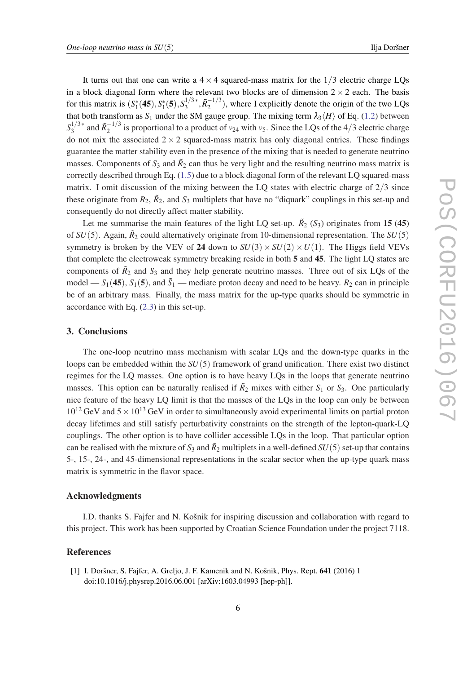<span id="page-6-0"></span>It turns out that one can write a  $4 \times 4$  squared-mass matrix for the  $1/3$  electric charge LQs in a block diagonal form where the relevant two blocks are of dimension  $2 \times 2$  each. The basis for this matrix is  $(S_1^*(45), S_1^*(5), S_3^{1/3*})$  $\tilde{R}_2^{-1/3}$  $\binom{-1}{2}$ , where I explicitly denote the origin of the two LQs that both transform as  $S_1$  under the SM gauge group. The mixing term  $\lambda_3\langle H \rangle$  of Eq. ([1.2](#page-1-0)) between  $S_3^{1/3}$ <sup>\*</sup>  $a_3^{1/3*}$  and  $\tilde{R}_2^{-1/3}$  $\frac{1}{2}$  is proportional to a product of *v*<sub>24</sub> with *v*<sub>5</sub>. Since the LQs of the 4/3 electric charge do not mix the associated  $2 \times 2$  squared-mass matrix has only diagonal entries. These findings guarantee the matter stability even in the presence of the mixing that is needed to generate neutrino masses. Components of  $S_3$  and  $\tilde{R}_2$  can thus be very light and the resulting neutrino mass matrix is correctly described through Eq. ([1.5](#page-2-0)) due to a block diagonal form of the relevant LQ squared-mass matrix. I omit discussion of the mixing between the LQ states with electric charge of  $2/3$  since these originate from  $R_2$ ,  $\tilde{R}_2$ , and  $S_3$  multiplets that have no "diquark" couplings in this set-up and consequently do not directly affect matter stability.

Let me summarise the main features of the light LQ set-up.  $\tilde{R}_2$  ( $S_3$ ) originates from 15 (45) of  $SU(5)$ . Again,  $\tilde{R}_2$  could alternatively originate from 10-dimensional representation. The  $SU(5)$ symmetry is broken by the VEV of 24 down to  $SU(3) \times SU(2) \times U(1)$ . The Higgs field VEVs that complete the electroweak symmetry breaking reside in both 5 and 45. The light LQ states are components of  $\tilde{R}_2$  and  $S_3$  and they help generate neutrino masses. Three out of six LQs of the model —  $S_1$ (45),  $S_1$ (5), and  $\tilde{S}_1$  — mediate proton decay and need to be heavy.  $R_2$  can in principle be of an arbitrary mass. Finally, the mass matrix for the up-type quarks should be symmetric in accordance with Eq. [\(2.3](#page-3-0)) in this set-up.

# 3. Conclusions

The one-loop neutrino mass mechanism with scalar LQs and the down-type quarks in the loops can be embedded within the *SU*(5) framework of grand unification. There exist two distinct regimes for the LQ masses. One option is to have heavy LQs in the loops that generate neutrino masses. This option can be naturally realised if  $\tilde{R}_2$  mixes with either  $S_1$  or  $S_3$ . One particularly nice feature of the heavy LQ limit is that the masses of the LQs in the loop can only be between  $10^{12}$  GeV and  $5 \times 10^{13}$  GeV in order to simultaneously avoid experimental limits on partial proton decay lifetimes and still satisfy perturbativity constraints on the strength of the lepton-quark-LQ couplings. The other option is to have collider accessible LQs in the loop. That particular option can be realised with the mixture of  $S_3$  and  $\tilde{R}_2$  multiplets in a well-defined  $SU(5)$  set-up that contains 5-, 15-, 24-, and 45-dimensional representations in the scalar sector when the up-type quark mass matrix is symmetric in the flavor space.

#### Acknowledgments

I.D. thanks S. Fajfer and N. Košnik for inspiring discussion and collaboration with regard to this project. This work has been supported by Croatian Science Foundation under the project 7118.

# References

[1] I. Doršner, S. Fajfer, A. Greljo, J. F. Kamenik and N. Košnik, Phys. Rept. 641 (2016) 1 doi:10.1016/j.physrep.2016.06.001 [arXiv:1603.04993 [hep-ph]].